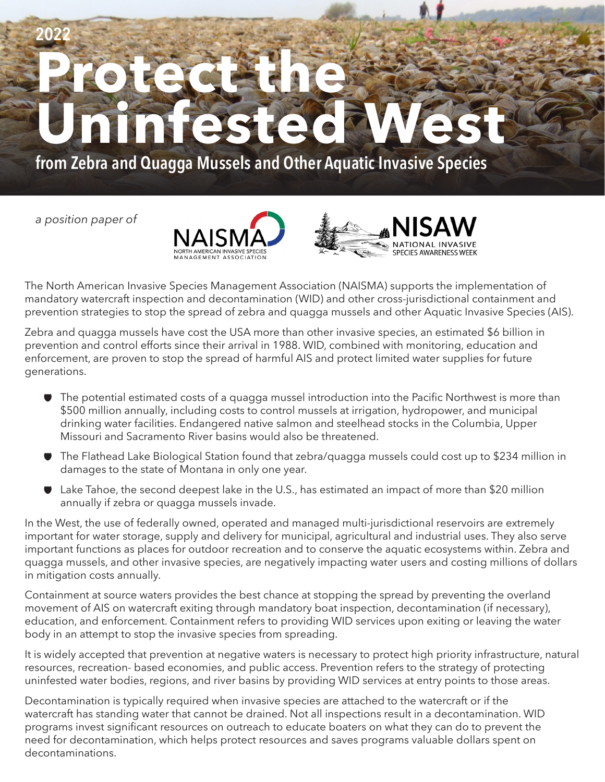## **Protect the Uninfested West 2022**

**from Zebra and Quagga Mussels and Other Aquatic Invasive Species**

*a position paper of*





The North American Invasive Species Management Association (NAISMA) supports the implementation of mandatory watercraft inspection and decontamination (WID) and other cross-jurisdictional containment and prevention strategies to stop the spread of zebra and quagga mussels and other Aquatic Invasive Species (AIS).

Zebra and quagga mussels have cost the USA more than other invasive species, an estimated \$6 billion in prevention and control efforts since their arrival in 1988. WID, combined with monitoring, education and enforcement, are proven to stop the spread of harmful AIS and protect limited water supplies for future generations.

- $\bullet$  The potential estimated costs of a quagga mussel introduction into the Pacific Northwest is more than \$500 million annually, including costs to control mussels at irrigation, hydropower, and municipal drinking water facilities. Endangered native salmon and steelhead stocks in the Columbia, Upper Missouri and Sacramento River basins would also be threatened.
- G The Flathead Lake Biological Station found that zebra/quagga mussels could cost up to \$234 million in damages to the state of Montana in only one year.
- G Lake Tahoe, the second deepest lake in the U.S., has estimated an impact of more than \$20 million annually if zebra or quagga mussels invade.

In the West, the use of federally owned, operated and managed multi-jurisdictional reservoirs are extremely important for water storage, supply and delivery for municipal, agricultural and industrial uses. They also serve important functions as places for outdoor recreation and to conserve the aquatic ecosystems within. Zebra and quagga mussels, and other invasive species, are negatively impacting water users and costing millions of dollars in mitigation costs annually.

Containment at source waters provides the best chance at stopping the spread by preventing the overland movement of AIS on watercraft exiting through mandatory boat inspection, decontamination (if necessary), education, and enforcement. Containment refers to providing WID services upon exiting or leaving the water body in an attempt to stop the invasive species from spreading.

It is widely accepted that prevention at negative waters is necessary to protect high priority infrastructure, natural resources, recreation- based economies, and public access. Prevention refers to the strategy of protecting uninfested water bodies, regions, and river basins by providing WID services at entry points to those areas.

Decontamination is typically required when invasive species are attached to the watercraft or if the watercraft has standing water that cannot be drained. Not all inspections result in a decontamination. WID programs invest significant resources on outreach to educate boaters on what they can do to prevent the need for decontamination, which helps protect resources and saves programs valuable dollars spent on decontaminations.